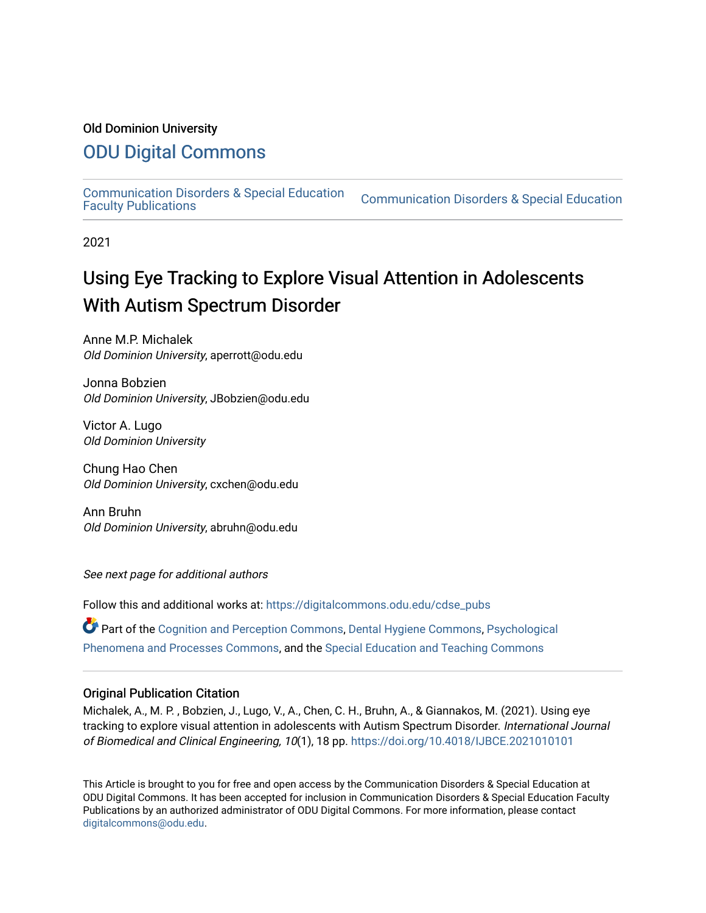#### Old Dominion University

## [ODU Digital Commons](https://digitalcommons.odu.edu/)

[Communication Disorders & Special Education](https://digitalcommons.odu.edu/cdse_pubs) 

**Communication Disorders & Special Education** 

2021

# Using Eye Tracking to Explore Visual Attention in Adolescents With Autism Spectrum Disorder

Anne M.P. Michalek Old Dominion University, aperrott@odu.edu

Jonna Bobzien Old Dominion University, JBobzien@odu.edu

Victor A. Lugo Old Dominion University

Chung Hao Chen Old Dominion University, cxchen@odu.edu

Ann Bruhn Old Dominion University, abruhn@odu.edu

See next page for additional authors

Follow this and additional works at: [https://digitalcommons.odu.edu/cdse\\_pubs](https://digitalcommons.odu.edu/cdse_pubs?utm_source=digitalcommons.odu.edu%2Fcdse_pubs%2F61&utm_medium=PDF&utm_campaign=PDFCoverPages) 

Part of the [Cognition and Perception Commons,](http://network.bepress.com/hgg/discipline/407?utm_source=digitalcommons.odu.edu%2Fcdse_pubs%2F61&utm_medium=PDF&utm_campaign=PDFCoverPages) [Dental Hygiene Commons,](http://network.bepress.com/hgg/discipline/1362?utm_source=digitalcommons.odu.edu%2Fcdse_pubs%2F61&utm_medium=PDF&utm_campaign=PDFCoverPages) [Psychological](http://network.bepress.com/hgg/discipline/914?utm_source=digitalcommons.odu.edu%2Fcdse_pubs%2F61&utm_medium=PDF&utm_campaign=PDFCoverPages) [Phenomena and Processes Commons](http://network.bepress.com/hgg/discipline/914?utm_source=digitalcommons.odu.edu%2Fcdse_pubs%2F61&utm_medium=PDF&utm_campaign=PDFCoverPages), and the [Special Education and Teaching Commons](http://network.bepress.com/hgg/discipline/801?utm_source=digitalcommons.odu.edu%2Fcdse_pubs%2F61&utm_medium=PDF&utm_campaign=PDFCoverPages) 

#### Original Publication Citation

Michalek, A., M. P. , Bobzien, J., Lugo, V., A., Chen, C. H., Bruhn, A., & Giannakos, M. (2021). Using eye tracking to explore visual attention in adolescents with Autism Spectrum Disorder. International Journal of Biomedical and Clinical Engineering, 10(1), 18 pp. <https://doi.org/10.4018/IJBCE.2021010101>

This Article is brought to you for free and open access by the Communication Disorders & Special Education at ODU Digital Commons. It has been accepted for inclusion in Communication Disorders & Special Education Faculty Publications by an authorized administrator of ODU Digital Commons. For more information, please contact [digitalcommons@odu.edu](mailto:digitalcommons@odu.edu).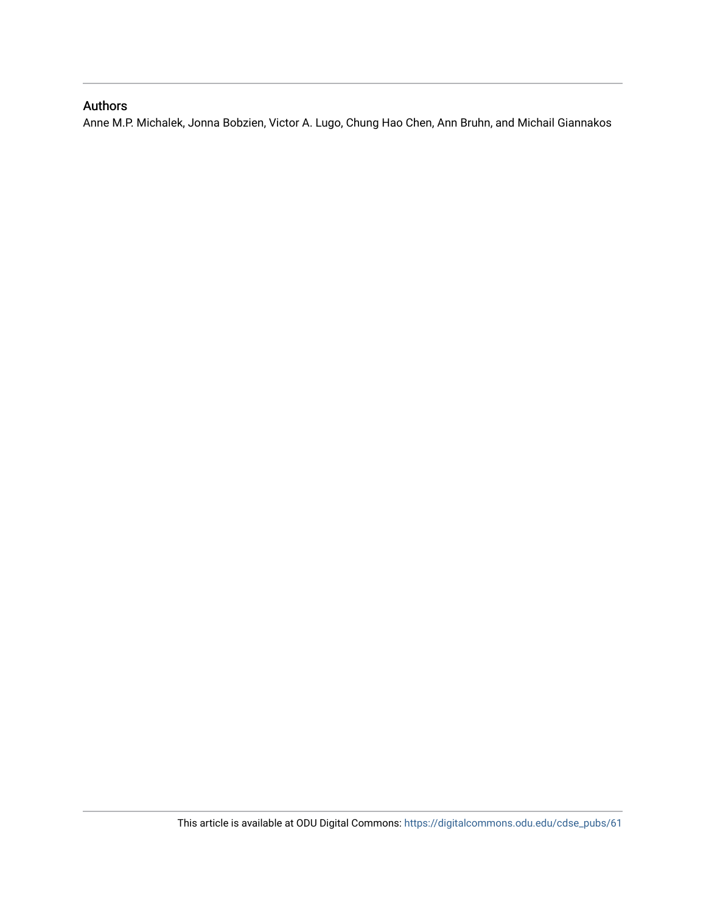## Authors

Anne M.P. Michalek, Jonna Bobzien, Victor A. Lugo, Chung Hao Chen, Ann Bruhn, and Michail Giannakos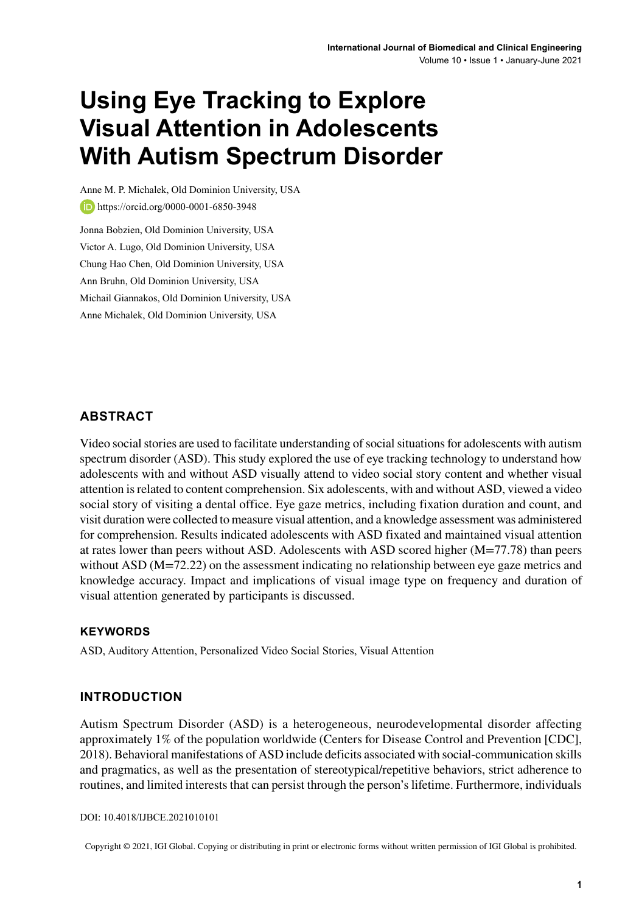# **Using Eye Tracking to Explore Visual Attention in Adolescents With Autism Spectrum Disorder**

Anne M. P. Michalek, Old Dominion University, USA **b**<https://orcid.org/0000-0001-6850-3948> Jonna Bobzien, Old Dominion University, USA Victor A. Lugo, Old Dominion University, USA Chung Hao Chen, Old Dominion University, USA Ann Bruhn, Old Dominion University, USA Michail Giannakos, Old Dominion University, USA Anne Michalek, Old Dominion University, USA

#### **ABSTRACT**

Video social stories are used to facilitate understanding of social situations for adolescents with autism spectrum disorder (ASD). This study explored the use of eye tracking technology to understand how adolescents with and without ASD visually attend to video social story content and whether visual attention isrelated to content comprehension. Six adolescents, with and without ASD, viewed a video social story of visiting a dental office. Eye gaze metrics, including fixation duration and count, and visit duration were collected to measure visual attention, and a knowledge assessment was administered for comprehension. Results indicated adolescents with ASD fixated and maintained visual attention at rates lower than peers without ASD. Adolescents with ASD scored higher (M=77.78) than peers without ASD (M=72.22) on the assessment indicating no relationship between eye gaze metrics and knowledge accuracy. Impact and implications of visual image type on frequency and duration of visual attention generated by participants is discussed.

#### **Keywords**

ASD, Auditory Attention, Personalized Video Social Stories, Visual Attention

#### **INTRODUCTION**

Autism Spectrum Disorder (ASD) is a heterogeneous, neurodevelopmental disorder affecting approximately 1% of the population worldwide (Centers for Disease Control and Prevention [CDC], 2018). Behavioral manifestations of ASD include deficits associated with social-communication skills and pragmatics, as well as the presentation of stereotypical/repetitive behaviors, strict adherence to routines, and limited interests that can persist through the person's lifetime. Furthermore, individuals

DOI: 10.4018/IJBCE.2021010101

Copyright © 2021, IGI Global. Copying or distributing in print or electronic forms without written permission of IGI Global is prohibited.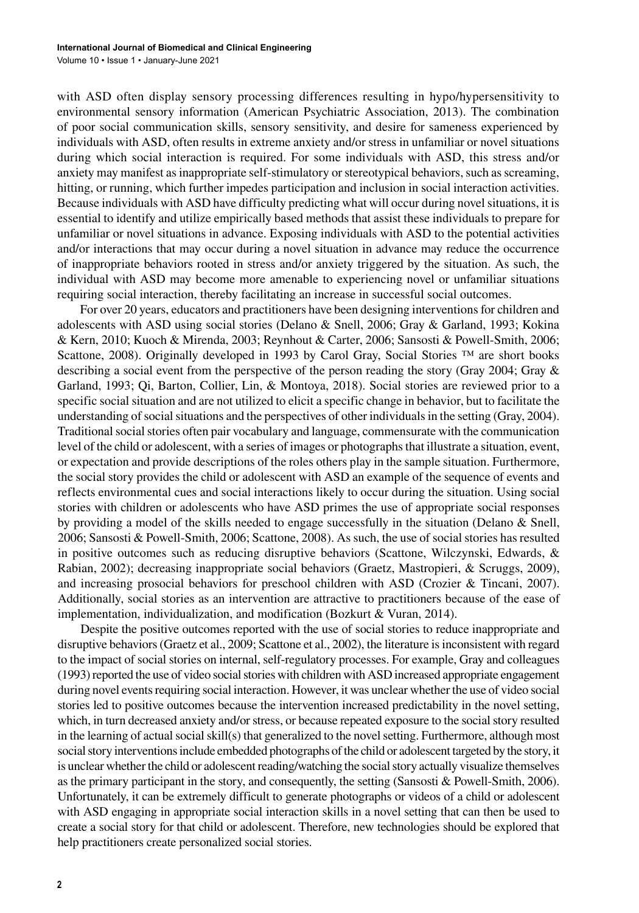with ASD often display sensory processing differences resulting in hypo/hypersensitivity to environmental sensory information (American Psychiatric Association, 2013). The combination of poor social communication skills, sensory sensitivity, and desire for sameness experienced by individuals with ASD, often results in extreme anxiety and/or stress in unfamiliar or novel situations during which social interaction is required. For some individuals with ASD, this stress and/or anxiety may manifest as inappropriate self-stimulatory or stereotypical behaviors, such as screaming, hitting, or running, which further impedes participation and inclusion in social interaction activities. Because individuals with ASD have difficulty predicting what will occur during novel situations, it is essential to identify and utilize empirically based methods that assist these individuals to prepare for unfamiliar or novel situations in advance. Exposing individuals with ASD to the potential activities and/or interactions that may occur during a novel situation in advance may reduce the occurrence of inappropriate behaviors rooted in stress and/or anxiety triggered by the situation. As such, the individual with ASD may become more amenable to experiencing novel or unfamiliar situations requiring social interaction, thereby facilitating an increase in successful social outcomes.

For over 20 years, educators and practitioners have been designing interventions for children and adolescents with ASD using social stories (Delano & Snell, 2006; Gray & Garland, 1993; Kokina & Kern, 2010; Kuoch & Mirenda, 2003; Reynhout & Carter, 2006; Sansosti & Powell-Smith, 2006; Scattone, 2008). Originally developed in 1993 by Carol Gray, Social Stories ™ are short books describing a social event from the perspective of the person reading the story (Gray 2004; Gray & Garland, 1993; Qi, Barton, Collier, Lin, & Montoya, 2018). Social stories are reviewed prior to a specific social situation and are not utilized to elicit a specific change in behavior, but to facilitate the understanding of social situations and the perspectives of other individuals in the setting (Gray, 2004). Traditional social stories often pair vocabulary and language, commensurate with the communication level of the child or adolescent, with a series of images or photographsthat illustrate a situation, event, or expectation and provide descriptions of the roles others play in the sample situation. Furthermore, the social story provides the child or adolescent with ASD an example of the sequence of events and reflects environmental cues and social interactions likely to occur during the situation. Using social stories with children or adolescents who have ASD primes the use of appropriate social responses by providing a model of the skills needed to engage successfully in the situation (Delano & Snell, 2006; Sansosti & Powell-Smith, 2006; Scattone, 2008). As such, the use of social stories has resulted in positive outcomes such as reducing disruptive behaviors (Scattone, Wilczynski, Edwards, & Rabian, 2002); decreasing inappropriate social behaviors (Graetz, Mastropieri, & Scruggs, 2009), and increasing prosocial behaviors for preschool children with ASD (Crozier & Tincani, 2007). Additionally, social stories as an intervention are attractive to practitioners because of the ease of implementation, individualization, and modification (Bozkurt & Vuran, 2014).

Despite the positive outcomes reported with the use of social stories to reduce inappropriate and disruptive behaviors(Graetz et al., 2009; Scattone et al., 2002), the literature isinconsistent with regard to the impact of social stories on internal, self-regulatory processes. For example, Gray and colleagues (1993) reported the use of video social stories with children with ASD increased appropriate engagement during novel events requiring social interaction. However, it was unclear whether the use of video social stories led to positive outcomes because the intervention increased predictability in the novel setting, which, in turn decreased anxiety and/or stress, or because repeated exposure to the social story resulted in the learning of actual social skill(s) that generalized to the novel setting. Furthermore, although most social story interventions include embedded photographs of the child or adolescent targeted by the story, it is unclear whether the child or adolescent reading/watching the social story actually visualize themselves as the primary participant in the story, and consequently, the setting (Sansosti & Powell-Smith, 2006). Unfortunately, it can be extremely difficult to generate photographs or videos of a child or adolescent with ASD engaging in appropriate social interaction skills in a novel setting that can then be used to create a social story for that child or adolescent. Therefore, new technologies should be explored that help practitioners create personalized social stories.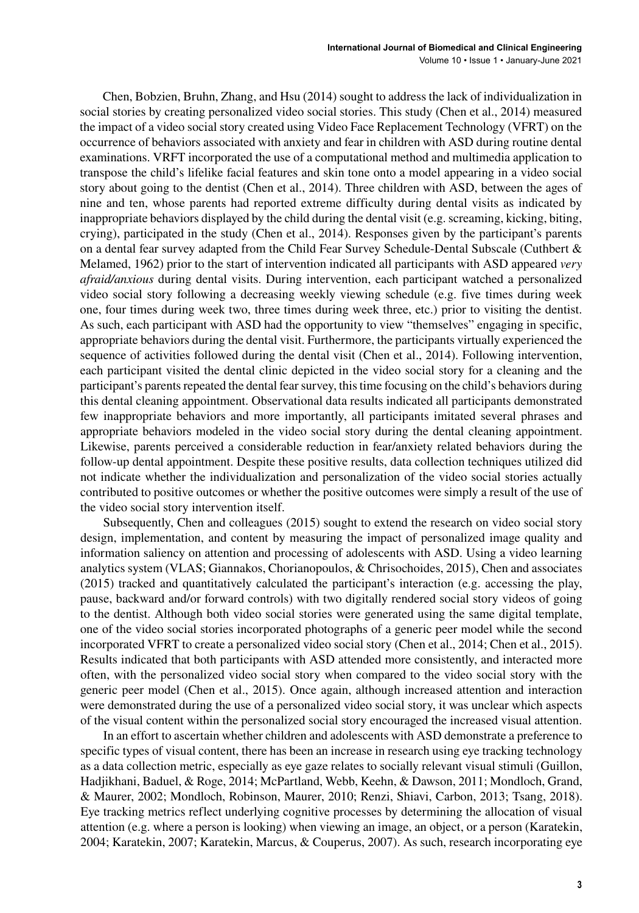Chen, Bobzien, Bruhn, Zhang, and Hsu (2014) sought to address the lack of individualization in social stories by creating personalized video social stories. This study (Chen et al., 2014) measured the impact of a video social story created using Video Face Replacement Technology (VFRT) on the occurrence of behaviors associated with anxiety and fear in children with ASD during routine dental examinations. VRFT incorporated the use of a computational method and multimedia application to transpose the child's lifelike facial features and skin tone onto a model appearing in a video social story about going to the dentist (Chen et al., 2014). Three children with ASD, between the ages of nine and ten, whose parents had reported extreme difficulty during dental visits as indicated by inappropriate behaviors displayed by the child during the dental visit (e.g. screaming, kicking, biting, crying), participated in the study (Chen et al., 2014). Responses given by the participant's parents on a dental fear survey adapted from the Child Fear Survey Schedule-Dental Subscale (Cuthbert & Melamed, 1962) prior to the start of intervention indicated all participants with ASD appeared *very afraid/anxious* during dental visits. During intervention, each participant watched a personalized video social story following a decreasing weekly viewing schedule (e.g. five times during week one, four times during week two, three times during week three, etc.) prior to visiting the dentist. As such, each participant with ASD had the opportunity to view "themselves" engaging in specific, appropriate behaviors during the dental visit. Furthermore, the participants virtually experienced the sequence of activities followed during the dental visit (Chen et al., 2014). Following intervention, each participant visited the dental clinic depicted in the video social story for a cleaning and the participant's parents repeated the dental fear survey, this time focusing on the child's behaviors during this dental cleaning appointment. Observational data results indicated all participants demonstrated few inappropriate behaviors and more importantly, all participants imitated several phrases and appropriate behaviors modeled in the video social story during the dental cleaning appointment. Likewise, parents perceived a considerable reduction in fear/anxiety related behaviors during the follow-up dental appointment. Despite these positive results, data collection techniques utilized did not indicate whether the individualization and personalization of the video social stories actually contributed to positive outcomes or whether the positive outcomes were simply a result of the use of the video social story intervention itself.

Subsequently, Chen and colleagues (2015) sought to extend the research on video social story design, implementation, and content by measuring the impact of personalized image quality and information saliency on attention and processing of adolescents with ASD. Using a video learning analytics system (VLAS; Giannakos, Chorianopoulos, & Chrisochoides, 2015), Chen and associates (2015) tracked and quantitatively calculated the participant's interaction (e.g. accessing the play, pause, backward and/or forward controls) with two digitally rendered social story videos of going to the dentist. Although both video social stories were generated using the same digital template, one of the video social stories incorporated photographs of a generic peer model while the second incorporated VFRT to create a personalized video social story (Chen et al., 2014; Chen et al., 2015). Results indicated that both participants with ASD attended more consistently, and interacted more often, with the personalized video social story when compared to the video social story with the generic peer model (Chen et al., 2015). Once again, although increased attention and interaction were demonstrated during the use of a personalized video social story, it was unclear which aspects of the visual content within the personalized social story encouraged the increased visual attention.

In an effort to ascertain whether children and adolescents with ASD demonstrate a preference to specific types of visual content, there has been an increase in research using eye tracking technology as a data collection metric, especially as eye gaze relates to socially relevant visual stimuli (Guillon, Hadjikhani, Baduel, & Roge, 2014; McPartland, Webb, Keehn, & Dawson, 2011; Mondloch, Grand, & Maurer, 2002; Mondloch, Robinson, Maurer, 2010; Renzi, Shiavi, Carbon, 2013; Tsang, 2018). Eye tracking metrics reflect underlying cognitive processes by determining the allocation of visual attention (e.g. where a person is looking) when viewing an image, an object, or a person (Karatekin, 2004; Karatekin, 2007; Karatekin, Marcus, & Couperus, 2007). As such, research incorporating eye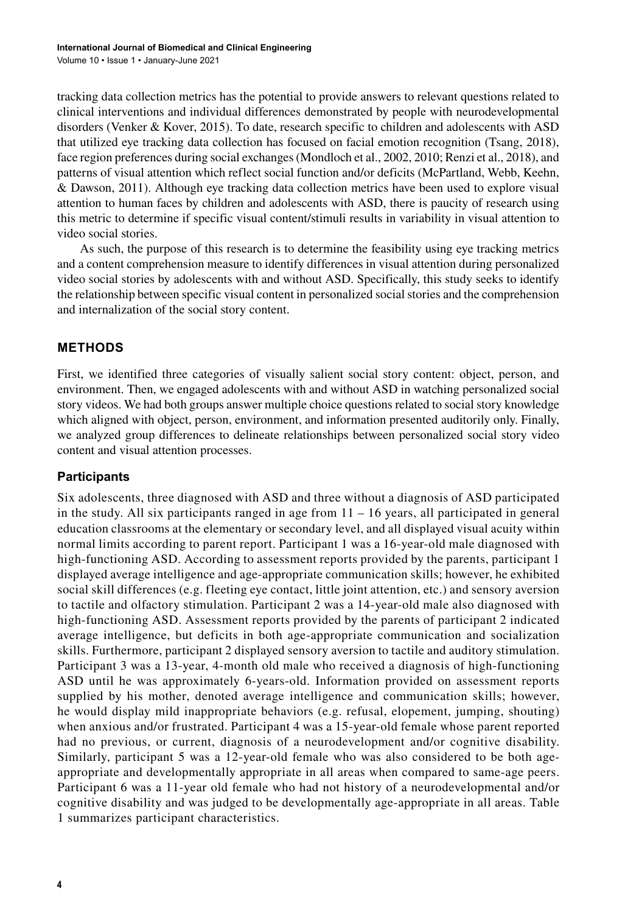tracking data collection metrics has the potential to provide answers to relevant questions related to clinical interventions and individual differences demonstrated by people with neurodevelopmental disorders (Venker & Kover, 2015). To date, research specific to children and adolescents with ASD that utilized eye tracking data collection has focused on facial emotion recognition (Tsang, 2018), face region preferences during social exchanges(Mondloch et al., 2002, 2010; Renzi et al., 2018), and patterns of visual attention which reflect social function and/or deficits (McPartland, Webb, Keehn, & Dawson, 2011). Although eye tracking data collection metrics have been used to explore visual attention to human faces by children and adolescents with ASD, there is paucity of research using this metric to determine if specific visual content/stimuli results in variability in visual attention to video social stories.

As such, the purpose of this research is to determine the feasibility using eye tracking metrics and a content comprehension measure to identify differences in visual attention during personalized video social stories by adolescents with and without ASD. Specifically, this study seeks to identify the relationship between specific visual content in personalized socialstories and the comprehension and internalization of the social story content.

## **METHODS**

First, we identified three categories of visually salient social story content: object, person, and environment. Then, we engaged adolescents with and without ASD in watching personalized social story videos. We had both groups answer multiple choice questions related to social story knowledge which aligned with object, person, environment, and information presented auditorily only. Finally, we analyzed group differences to delineate relationships between personalized social story video content and visual attention processes.

## **Participants**

Six adolescents, three diagnosed with ASD and three without a diagnosis of ASD participated in the study. All six participants ranged in age from  $11 - 16$  years, all participated in general education classrooms at the elementary or secondary level, and all displayed visual acuity within normal limits according to parent report. Participant 1 was a 16-year-old male diagnosed with high-functioning ASD. According to assessment reports provided by the parents, participant 1 displayed average intelligence and age-appropriate communication skills; however, he exhibited social skill differences (e.g. fleeting eye contact, little joint attention, etc.) and sensory aversion to tactile and olfactory stimulation. Participant 2 was a 14-year-old male also diagnosed with high-functioning ASD. Assessment reports provided by the parents of participant 2 indicated average intelligence, but deficits in both age-appropriate communication and socialization skills. Furthermore, participant 2 displayed sensory aversion to tactile and auditory stimulation. Participant 3 was a 13-year, 4-month old male who received a diagnosis of high-functioning ASD until he was approximately 6-years-old. Information provided on assessment reports supplied by his mother, denoted average intelligence and communication skills; however, he would display mild inappropriate behaviors (e.g. refusal, elopement, jumping, shouting) when anxious and/or frustrated. Participant 4 was a 15-year-old female whose parent reported had no previous, or current, diagnosis of a neurodevelopment and/or cognitive disability. Similarly, participant 5 was a 12-year-old female who was also considered to be both ageappropriate and developmentally appropriate in all areas when compared to same-age peers. Participant 6 was a 11-year old female who had not history of a neurodevelopmental and/or cognitive disability and was judged to be developmentally age-appropriate in all areas. Table 1 summarizes participant characteristics.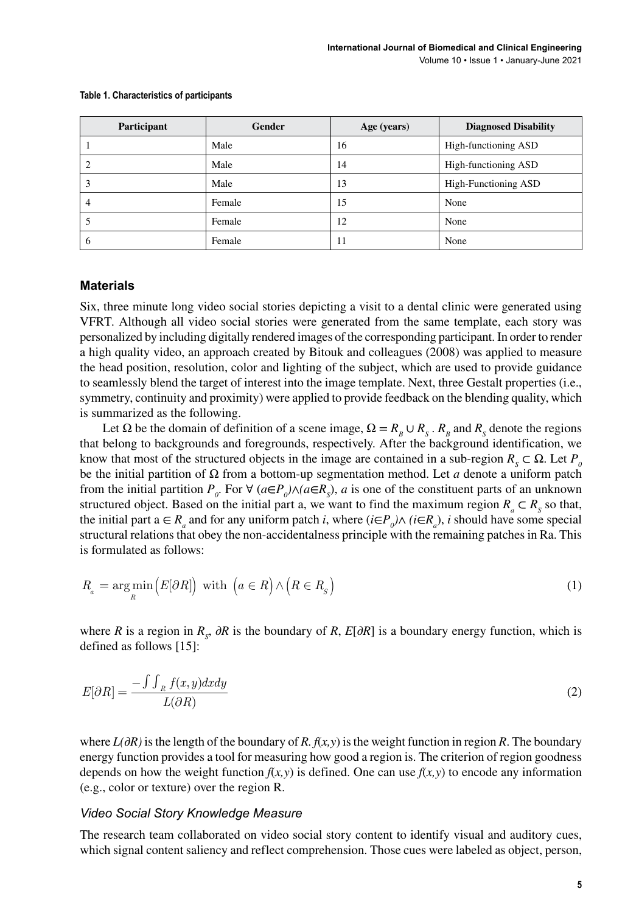| Participant | Gender | Age (years) | <b>Diagnosed Disability</b> |
|-------------|--------|-------------|-----------------------------|
|             | Male   | 16          | High-functioning ASD        |
|             | Male   | 14          | High-functioning ASD        |
| 3           | Male   | 13          | High-Functioning ASD        |
| 4           | Female | 15          | None                        |
|             | Female | 12          | None                        |
| 6           | Female | 11          | None                        |

#### **Table 1. Characteristics of participants**

#### **Materials**

Six, three minute long video social stories depicting a visit to a dental clinic were generated using VFRT. Although all video social stories were generated from the same template, each story was personalized by including digitally rendered images of the corresponding participant. In order to render a high quality video, an approach created by Bitouk and colleagues (2008) was applied to measure the head position, resolution, color and lighting of the subject, which are used to provide guidance to seamlessly blend the target of interest into the image template. Next, three Gestalt properties (i.e., symmetry, continuity and proximity) were applied to provide feedback on the blending quality, which is summarized as the following.

Let  $\Omega$  be the domain of definition of a scene image,  $\Omega = R_B \cup R_S$ .  $R_B$  and  $R_S$  denote the regions that belong to backgrounds and foregrounds, respectively. After the background identification, we know that most of the structured objects in the image are contained in a sub-region  $R_s \subset \Omega$ . Let  $P_o$ be the initial partition of Ω from a bottom-up segmentation method. Let *a* denote a uniform patch from the initial partition  $P_o$ . For  $\forall$  ( $a \in P_o$ ) $\land$ ( $a \in R_s$ ),  $a$  is one of the constituent parts of an unknown structured object. Based on the initial part a, we want to find the maximum region  $R_a \subset R_s$  so that, the initial part  $a \in R_a$  and for any uniform patch *i*, where  $(i \in P_0) \wedge (i \in R_a)$ , *i* should have some special structural relations that obey the non-accidentalness principle with the remaining patches in Ra. This is formulated as follows:

$$
R_a = \underset{R}{\text{arg min}} \left( E[\partial R] \right) \text{ with } \left( a \in R \right) \wedge \left( R \in R_s \right) \tag{1}
$$

where *R* is a region in  $R_s$ ,  $\partial R$  is the boundary of *R*,  $E[\partial R]$  is a boundary energy function, which is defined as follows [15]:

$$
E[\partial R] = \frac{-\int \int_{R} f(x, y) dx dy}{L(\partial R)}
$$
\n(2)

where *L(∂R)* isthe length of the boundary of *R. f*(*x,y*) isthe weight function in region *R*. The boundary energy function provides a tool for measuring how good a region is. The criterion of region goodness depends on how the weight function  $f(x, y)$  is defined. One can use  $f(x, y)$  to encode any information (e.g., color or texture) over the region R.

#### *Video Social Story Knowledge Measure*

The research team collaborated on video social story content to identify visual and auditory cues, which signal content saliency and reflect comprehension. Those cues were labeled as object, person,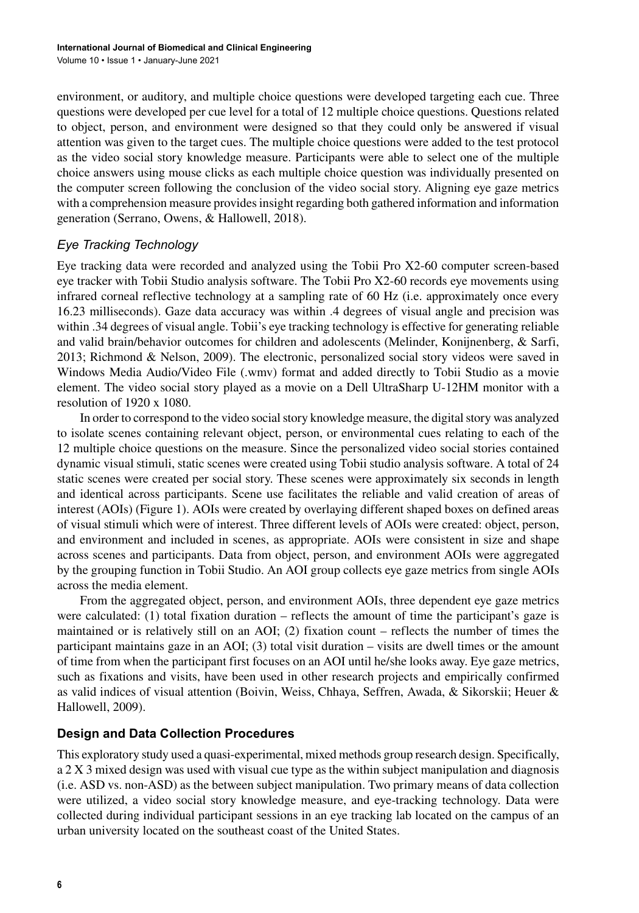environment, or auditory, and multiple choice questions were developed targeting each cue. Three questions were developed per cue level for a total of 12 multiple choice questions. Questions related to object, person, and environment were designed so that they could only be answered if visual attention was given to the target cues. The multiple choice questions were added to the test protocol as the video social story knowledge measure. Participants were able to select one of the multiple choice answers using mouse clicks as each multiple choice question was individually presented on the computer screen following the conclusion of the video social story. Aligning eye gaze metrics with a comprehension measure provides insight regarding both gathered information and information generation (Serrano, Owens, & Hallowell, 2018).

#### *Eye Tracking Technology*

Eye tracking data were recorded and analyzed using the Tobii Pro X2-60 computer screen-based eye tracker with Tobii Studio analysis software. The Tobii Pro X2-60 records eye movements using infrared corneal reflective technology at a sampling rate of 60 Hz (i.e. approximately once every 16.23 milliseconds). Gaze data accuracy was within .4 degrees of visual angle and precision was within .34 degrees of visual angle. Tobii's eye tracking technology is effective for generating reliable and valid brain/behavior outcomes for children and adolescents (Melinder, Konijnenberg, & Sarfi, 2013; Richmond & Nelson, 2009). The electronic, personalized social story videos were saved in Windows Media Audio/Video File (.wmv) format and added directly to Tobii Studio as a movie element. The video social story played as a movie on a Dell UltraSharp U-12HM monitor with a resolution of 1920 x 1080.

In order to correspond to the video social story knowledge measure, the digital story was analyzed to isolate scenes containing relevant object, person, or environmental cues relating to each of the 12 multiple choice questions on the measure. Since the personalized video social stories contained dynamic visual stimuli, static scenes were created using Tobii studio analysis software. A total of 24 static scenes were created per social story. These scenes were approximately six seconds in length and identical across participants. Scene use facilitates the reliable and valid creation of areas of interest (AOIs) (Figure 1). AOIs were created by overlaying different shaped boxes on defined areas of visual stimuli which were of interest. Three different levels of AOIs were created: object, person, and environment and included in scenes, as appropriate. AOIs were consistent in size and shape across scenes and participants. Data from object, person, and environment AOIs were aggregated by the grouping function in Tobii Studio. An AOI group collects eye gaze metrics from single AOIs across the media element.

From the aggregated object, person, and environment AOIs, three dependent eye gaze metrics were calculated: (1) total fixation duration – reflects the amount of time the participant's gaze is maintained or is relatively still on an AOI; (2) fixation count – reflects the number of times the participant maintains gaze in an AOI; (3) total visit duration – visits are dwell times or the amount of time from when the participant first focuses on an AOI until he/she looks away. Eye gaze metrics, such as fixations and visits, have been used in other research projects and empirically confirmed as valid indices of visual attention (Boivin, Weiss, Chhaya, Seffren, Awada, & Sikorskii; Heuer & Hallowell, 2009).

## **Design and Data Collection Procedures**

This exploratory study used a quasi-experimental, mixed methods group research design. Specifically, a 2 X 3 mixed design was used with visual cue type as the within subject manipulation and diagnosis (i.e. ASD vs. non-ASD) as the between subject manipulation. Two primary means of data collection were utilized, a video social story knowledge measure, and eye-tracking technology. Data were collected during individual participant sessions in an eye tracking lab located on the campus of an urban university located on the southeast coast of the United States.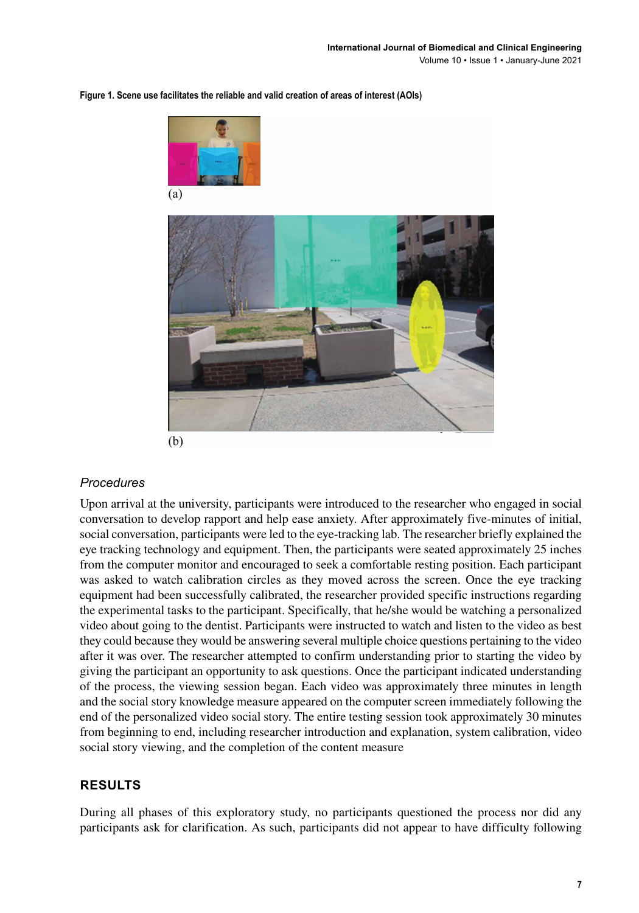

**Figure 1. Scene use facilitates the reliable and valid creation of areas of interest (AOIs)**

(b)

#### *Procedures*

Upon arrival at the university, participants were introduced to the researcher who engaged in social conversation to develop rapport and help ease anxiety. After approximately five-minutes of initial, social conversation, participants were led to the eye-tracking lab. The researcher briefly explained the eye tracking technology and equipment. Then, the participants were seated approximately 25 inches from the computer monitor and encouraged to seek a comfortable resting position. Each participant was asked to watch calibration circles as they moved across the screen. Once the eye tracking equipment had been successfully calibrated, the researcher provided specific instructions regarding the experimental tasks to the participant. Specifically, that he/she would be watching a personalized video about going to the dentist. Participants were instructed to watch and listen to the video as best they could because they would be answering several multiple choice questions pertaining to the video after it was over. The researcher attempted to confirm understanding prior to starting the video by giving the participant an opportunity to ask questions. Once the participant indicated understanding of the process, the viewing session began. Each video was approximately three minutes in length and the social story knowledge measure appeared on the computer screen immediately following the end of the personalized video social story. The entire testing session took approximately 30 minutes from beginning to end, including researcher introduction and explanation, system calibration, video social story viewing, and the completion of the content measure

## **RESULTS**

During all phases of this exploratory study, no participants questioned the process nor did any participants ask for clarification. As such, participants did not appear to have difficulty following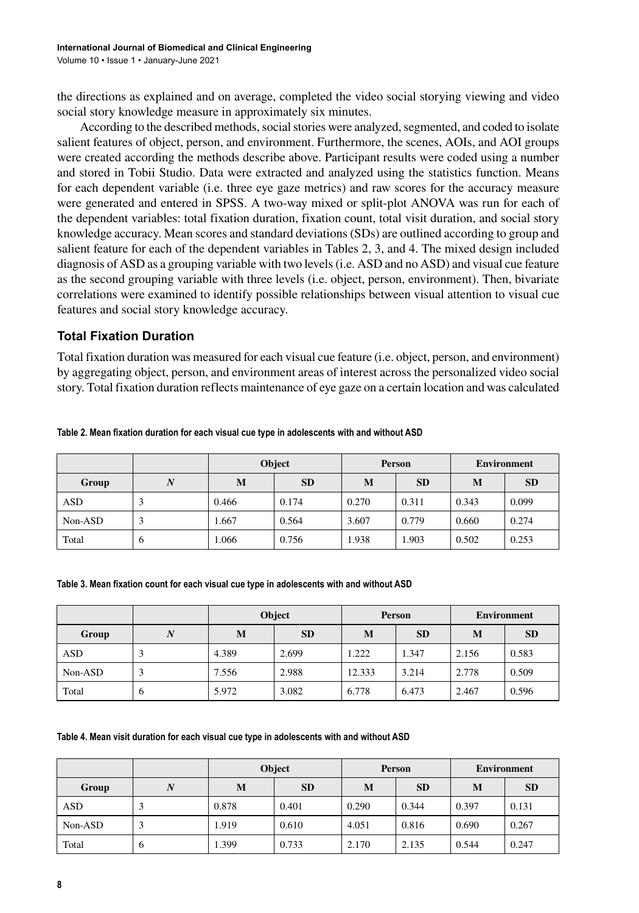the directions as explained and on average, completed the video social storying viewing and video social story knowledge measure in approximately six minutes.

According to the described methods, social stories were analyzed, segmented, and coded to isolate salient features of object, person, and environment. Furthermore, the scenes, AOIs, and AOI groups were created according the methods describe above. Participant results were coded using a number and stored in Tobii Studio. Data were extracted and analyzed using the statistics function. Means for each dependent variable (i.e. three eye gaze metrics) and raw scores for the accuracy measure were generated and entered in SPSS. A two-way mixed or split-plot ANOVA was run for each of the dependent variables: total fixation duration, fixation count, total visit duration, and social story knowledge accuracy. Mean scores and standard deviations(SDs) are outlined according to group and salient feature for each of the dependent variables in Tables 2, 3, and 4. The mixed design included diagnosis of ASD as a grouping variable with two levels(i.e. ASD and no ASD) and visual cue feature as the second grouping variable with three levels (i.e. object, person, environment). Then, bivariate correlations were examined to identify possible relationships between visual attention to visual cue features and social story knowledge accuracy.

#### **Total Fixation Duration**

Total fixation duration was measured for each visual cue feature (i.e. object, person, and environment) by aggregating object, person, and environment areas of interest across the personalized video social story. Total fixation duration reflects maintenance of eye gaze on a certain location and was calculated

|            |            | Object         |       | <b>Person</b> |           | <b>Environment</b> |           |
|------------|------------|----------------|-------|---------------|-----------|--------------------|-----------|
| Group      | N          | <b>SD</b><br>M |       | M             | <b>SD</b> | M                  | <b>SD</b> |
| <b>ASD</b> | Ć          | 0.466          | 0.174 | 0.270         | 0.311     | 0.343              | 0.099     |
| Non-ASD    |            | 1.667          | 0.564 | 3.607         | 0.779     | 0.660              | 0.274     |
| Total      | $\epsilon$ | 1.066          | 0.756 | 1.938         | 1.903     | 0.502              | 0.253     |

**Table 2. Mean fixation duration for each visual cue type in adolescents with and without ASD**

#### **Table 3. Mean fixation count for each visual cue type in adolescents with and without ASD**

|         |   | Object         |       | Person |           | <b>Environment</b> |           |
|---------|---|----------------|-------|--------|-----------|--------------------|-----------|
| Group   |   | <b>SD</b><br>M |       | M      | <b>SD</b> | M                  | <b>SD</b> |
| ASD     |   | 4.389          | 2.699 | 1.222  | 1.347     | 2.156              | 0.583     |
| Non-ASD |   | 7.556          | 2.988 | 12.333 | 3.214     | 2.778              | 0.509     |
| Total   | 6 | 5.972          | 3.082 | 6.778  | 6.473     | 2.467              | 0.596     |

**Table 4. Mean visit duration for each visual cue type in adolescents with and without ASD**

|         |          | Object |           |       | <b>Person</b> | <b>Environment</b> |           |
|---------|----------|--------|-----------|-------|---------------|--------------------|-----------|
| Group   | N        | M      | <b>SD</b> | M     | <b>SD</b>     | M                  | <b>SD</b> |
| ASD     | 3        | 0.878  | 0.401     | 0.290 | 0.344         | 0.397              | 0.131     |
| Non-ASD | 3        | 1.919  | 0.610     | 4.051 | 0.816         | 0.690              | 0.267     |
| Total   | $\sigma$ | 1.399  | 0.733     | 2.170 | 2.135         | 0.544              | 0.247     |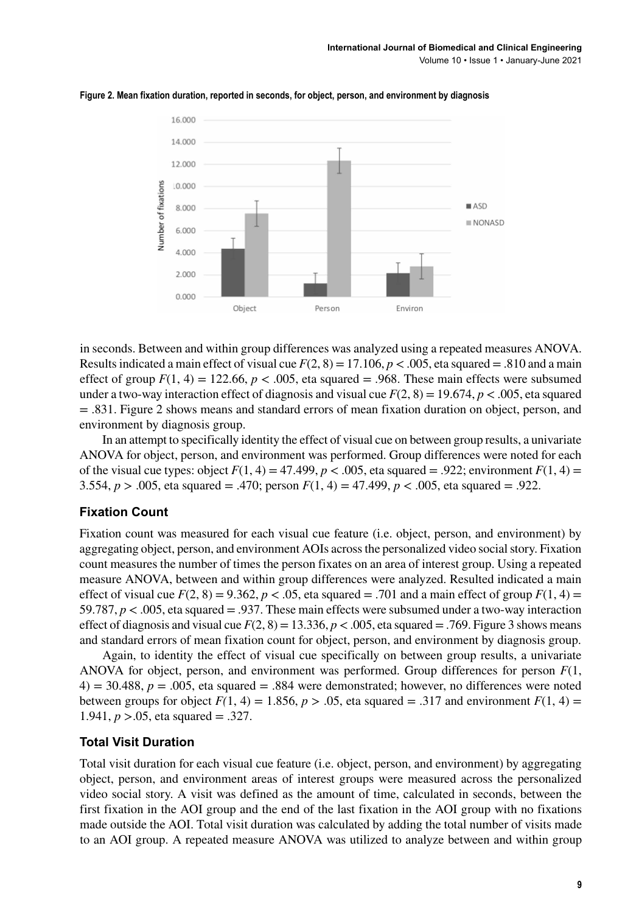

**Figure 2. Mean fixation duration, reported in seconds, for object, person, and environment by diagnosis**

in seconds. Between and within group differences was analyzed using a repeated measures ANOVA. Results indicated a main effect of visual cue  $F(2, 8) = 17.106$ ,  $p < .005$ , eta squared = .810 and a main effect of group  $F(1, 4) = 122.66$ ,  $p < .005$ , eta squared  $= .968$ . These main effects were subsumed under a two-way interaction effect of diagnosis and visual cue  $F(2, 8) = 19.674$ ,  $p < .005$ , eta squared = .831. Figure 2 shows means and standard errors of mean fixation duration on object, person, and environment by diagnosis group.

In an attempt to specifically identity the effect of visual cue on between group results, a univariate ANOVA for object, person, and environment was performed. Group differences were noted for each of the visual cue types: object  $F(1, 4) = 47.499$ ,  $p < .005$ , eta squared = .922; environment  $F(1, 4) =$ 3.554,  $p > .005$ , eta squared = .470; person  $F(1, 4) = 47.499$ ,  $p < .005$ , eta squared = .922.

#### **Fixation Count**

Fixation count was measured for each visual cue feature (i.e. object, person, and environment) by aggregating object, person, and environment AOIs acrossthe personalized video socialstory. Fixation count measures the number of times the person fixates on an area of interest group. Using a repeated measure ANOVA, between and within group differences were analyzed. Resulted indicated a main effect of visual cue  $F(2, 8) = 9.362$ ,  $p < .05$ , eta squared  $= .701$  and a main effect of group  $F(1, 4) =$ 59.787, *p* < .005, eta squared = .937. These main effects were subsumed under a two-way interaction effect of diagnosis and visual cue  $F(2, 8) = 13.336$ ,  $p < .005$ , eta squared  $= .769$ . Figure 3 shows means and standard errors of mean fixation count for object, person, and environment by diagnosis group.

Again, to identity the effect of visual cue specifically on between group results, a univariate ANOVA for object, person, and environment was performed. Group differences for person *F*(1,  $4$ ) = 30.488,  $p = .005$ , eta squared = .884 were demonstrated; however, no differences were noted between groups for object  $F(1, 4) = 1.856$ ,  $p > .05$ , eta squared = .317 and environment  $F(1, 4) =$ 1.941, *p* >.05, eta squared = .327.

#### **Total Visit Duration**

Total visit duration for each visual cue feature (i.e. object, person, and environment) by aggregating object, person, and environment areas of interest groups were measured across the personalized video social story. A visit was defined as the amount of time, calculated in seconds, between the first fixation in the AOI group and the end of the last fixation in the AOI group with no fixations made outside the AOI. Total visit duration was calculated by adding the total number of visits made to an AOI group. A repeated measure ANOVA was utilized to analyze between and within group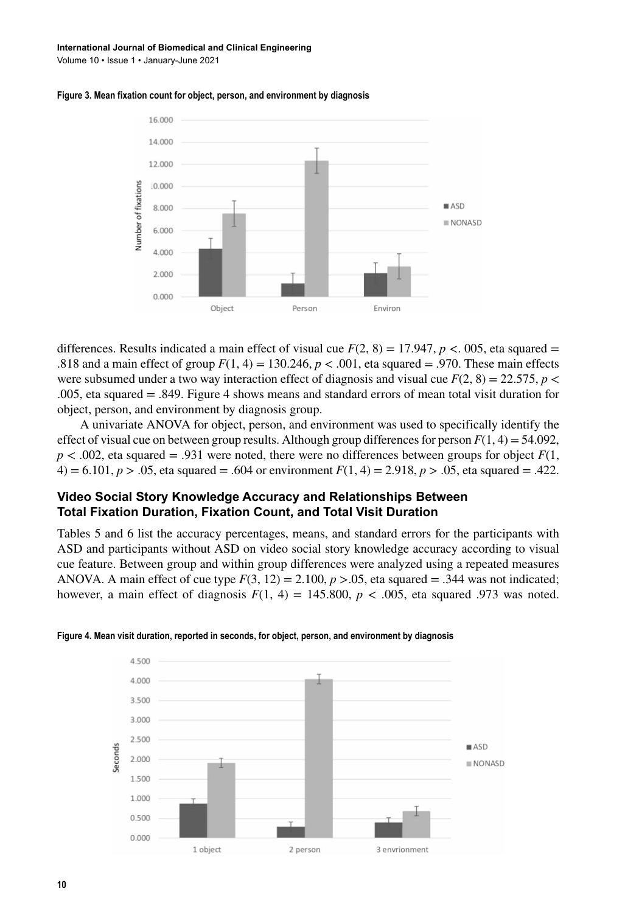#### **International Journal of Biomedical and Clinical Engineering**

Volume 10 • Issue 1 • January-June 2021





differences. Results indicated a main effect of visual cue  $F(2, 8) = 17.947$ ,  $p < 0.005$ , eta squared = .818 and a main effect of group  $F(1, 4) = 130.246$ ,  $p < .001$ , eta squared  $= .970$ . These main effects were subsumed under a two way interaction effect of diagnosis and visual cue  $F(2, 8) = 22.575$ ,  $p <$ .005, eta squared = .849. Figure 4 shows means and standard errors of mean total visit duration for object, person, and environment by diagnosis group.

A univariate ANOVA for object, person, and environment was used to specifically identify the effect of visual cue on between group results. Although group differences for person  $F(1, 4) = 54.092$ ,  $p < .002$ , eta squared = .931 were noted, there were no differences between groups for object  $F(1)$ , 4) = 6.101,  $p > .05$ , eta squared = .604 or environment  $F(1, 4) = 2.918$ ,  $p > .05$ , eta squared = .422.

#### **Video Social Story Knowledge Accuracy and Relationships Between Total Fixation Duration, Fixation Count, and Total Visit Duration**

Tables 5 and 6 list the accuracy percentages, means, and standard errors for the participants with ASD and participants without ASD on video social story knowledge accuracy according to visual cue feature. Between group and within group differences were analyzed using a repeated measures ANOVA. A main effect of cue type  $F(3, 12) = 2.100$ ,  $p > .05$ , eta squared = .344 was not indicated; however, a main effect of diagnosis  $F(1, 4) = 145.800$ ,  $p < .005$ , eta squared .973 was noted.



**Figure 4. Mean visit duration, reported in seconds, for object, person, and environment by diagnosis**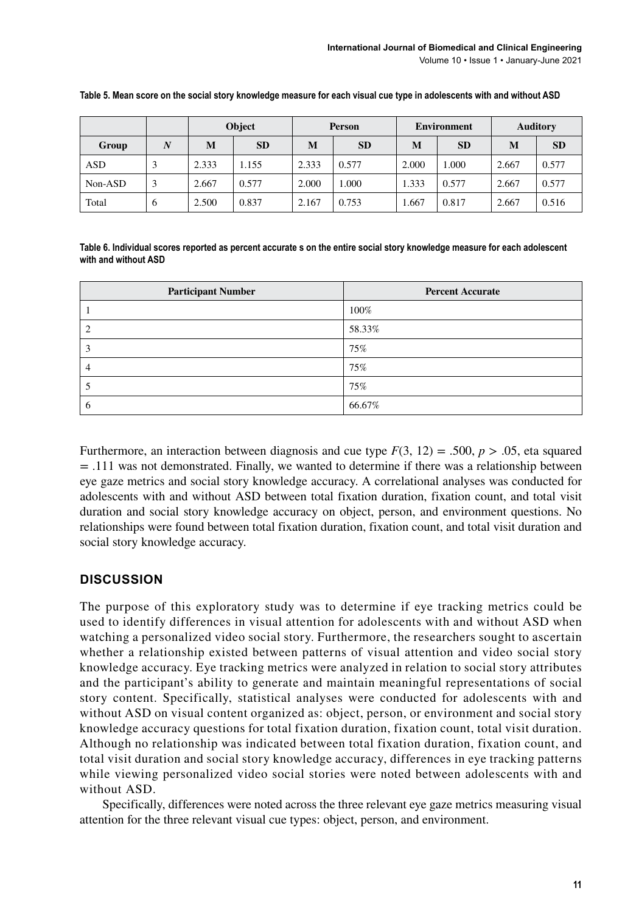|            |   | Object |           | <b>Person</b> |           | <b>Environment</b> |           | <b>Auditory</b> |           |
|------------|---|--------|-----------|---------------|-----------|--------------------|-----------|-----------------|-----------|
| Group      | N | M      | <b>SD</b> | M             | <b>SD</b> | M                  | <b>SD</b> | M               | <b>SD</b> |
| <b>ASD</b> |   | 2.333  | 1.155     | 2.333         | 0.577     | 2.000              | .000      | 2.667           | 0.577     |
| Non-ASD    |   | 2.667  | 0.577     | 2.000         | 1.000     | 1.333              | 0.577     | 2.667           | 0.577     |
| Total      | O | 2.500  | 0.837     | 2.167         | 0.753     | l.667              | 0.817     | 2.667           | 0.516     |

**Table 5. Mean score on the social story knowledge measure for each visual cue type in adolescents with and without ASD**

**Table 6. Individual scores reported as percent accurate s on the entire social story knowledge measure for each adolescent with and without ASD**

| <b>Participant Number</b> | <b>Percent Accurate</b> |
|---------------------------|-------------------------|
|                           | 100%                    |
|                           | 58.33%                  |
|                           | 75%                     |
|                           | 75%                     |
|                           | 75%                     |
|                           | 66.67%                  |

Furthermore, an interaction between diagnosis and cue type  $F(3, 12) = .500$ ,  $p > .05$ , eta squared  $= .111$  was not demonstrated. Finally, we wanted to determine if there was a relationship between eye gaze metrics and social story knowledge accuracy. A correlational analyses was conducted for adolescents with and without ASD between total fixation duration, fixation count, and total visit duration and social story knowledge accuracy on object, person, and environment questions. No relationships were found between total fixation duration, fixation count, and total visit duration and social story knowledge accuracy.

#### **DISCUSSION**

The purpose of this exploratory study was to determine if eye tracking metrics could be used to identify differences in visual attention for adolescents with and without ASD when watching a personalized video social story. Furthermore, the researchers sought to ascertain whether a relationship existed between patterns of visual attention and video social story knowledge accuracy. Eye tracking metrics were analyzed in relation to social story attributes and the participant's ability to generate and maintain meaningful representations of social story content. Specifically, statistical analyses were conducted for adolescents with and without ASD on visual content organized as: object, person, or environment and social story knowledge accuracy questions for total fixation duration, fixation count, total visit duration. Although no relationship was indicated between total fixation duration, fixation count, and total visit duration and social story knowledge accuracy, differences in eye tracking patterns while viewing personalized video social stories were noted between adolescents with and without ASD.

Specifically, differences were noted across the three relevant eye gaze metrics measuring visual attention for the three relevant visual cue types: object, person, and environment.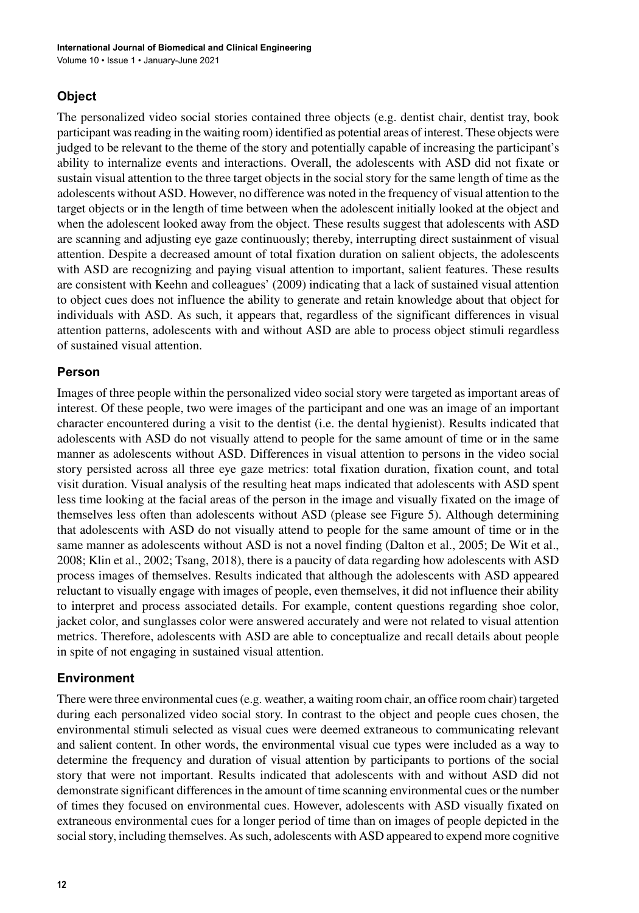## **Object**

The personalized video social stories contained three objects (e.g. dentist chair, dentist tray, book participant was reading in the waiting room) identified as potential areas of interest. These objects were judged to be relevant to the theme of the story and potentially capable of increasing the participant's ability to internalize events and interactions. Overall, the adolescents with ASD did not fixate or sustain visual attention to the three target objects in the social story for the same length of time as the adolescents without ASD. However, no difference was noted in the frequency of visual attention to the target objects or in the length of time between when the adolescent initially looked at the object and when the adolescent looked away from the object. These results suggest that adolescents with ASD are scanning and adjusting eye gaze continuously; thereby, interrupting direct sustainment of visual attention. Despite a decreased amount of total fixation duration on salient objects, the adolescents with ASD are recognizing and paying visual attention to important, salient features. These results are consistent with Keehn and colleagues' (2009) indicating that a lack of sustained visual attention to object cues does not influence the ability to generate and retain knowledge about that object for individuals with ASD. As such, it appears that, regardless of the significant differences in visual attention patterns, adolescents with and without ASD are able to process object stimuli regardless of sustained visual attention.

#### **Person**

Images of three people within the personalized video social story were targeted as important areas of interest. Of these people, two were images of the participant and one was an image of an important character encountered during a visit to the dentist (i.e. the dental hygienist). Results indicated that adolescents with ASD do not visually attend to people for the same amount of time or in the same manner as adolescents without ASD. Differences in visual attention to persons in the video social story persisted across all three eye gaze metrics: total fixation duration, fixation count, and total visit duration. Visual analysis of the resulting heat maps indicated that adolescents with ASD spent less time looking at the facial areas of the person in the image and visually fixated on the image of themselves less often than adolescents without ASD (please see Figure 5). Although determining that adolescents with ASD do not visually attend to people for the same amount of time or in the same manner as adolescents without ASD is not a novel finding (Dalton et al., 2005; De Wit et al., 2008; Klin et al., 2002; Tsang, 2018), there is a paucity of data regarding how adolescents with ASD process images of themselves. Results indicated that although the adolescents with ASD appeared reluctant to visually engage with images of people, even themselves, it did not influence their ability to interpret and process associated details. For example, content questions regarding shoe color, jacket color, and sunglasses color were answered accurately and were not related to visual attention metrics. Therefore, adolescents with ASD are able to conceptualize and recall details about people in spite of not engaging in sustained visual attention.

## **Environment**

There were three environmental cues(e.g. weather, a waiting room chair, an office room chair) targeted during each personalized video social story. In contrast to the object and people cues chosen, the environmental stimuli selected as visual cues were deemed extraneous to communicating relevant and salient content. In other words, the environmental visual cue types were included as a way to determine the frequency and duration of visual attention by participants to portions of the social story that were not important. Results indicated that adolescents with and without ASD did not demonstrate significant differencesin the amount of time scanning environmental cues or the number of times they focused on environmental cues. However, adolescents with ASD visually fixated on extraneous environmental cues for a longer period of time than on images of people depicted in the social story, including themselves. As such, adolescents with ASD appeared to expend more cognitive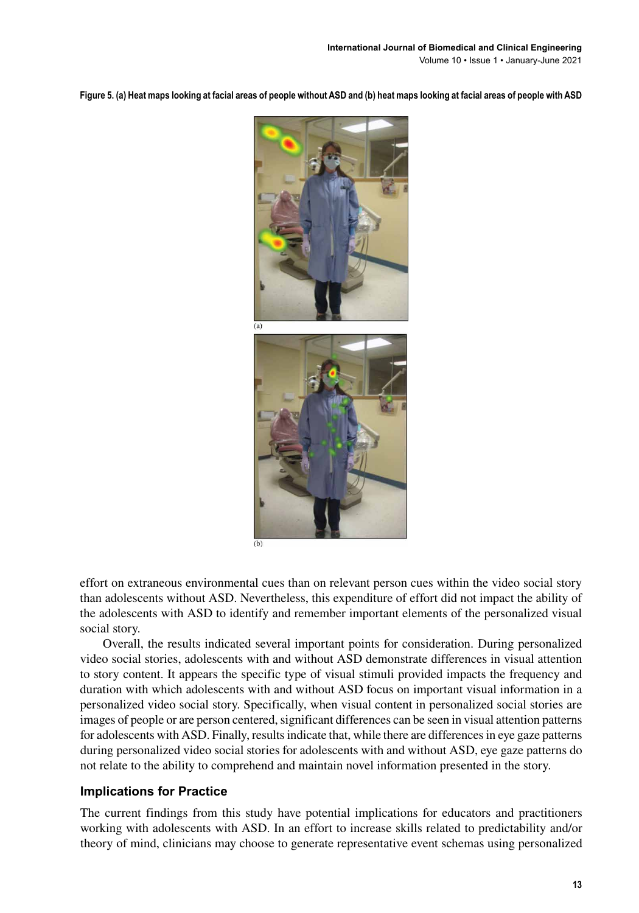**Figure 5. (a) Heat maps looking at facial areas of people without ASD and (b) heat maps looking at facial areas of people with ASD**



effort on extraneous environmental cues than on relevant person cues within the video social story than adolescents without ASD. Nevertheless, this expenditure of effort did not impact the ability of the adolescents with ASD to identify and remember important elements of the personalized visual social story.

Overall, the results indicated several important points for consideration. During personalized video social stories, adolescents with and without ASD demonstrate differences in visual attention to story content. It appears the specific type of visual stimuli provided impacts the frequency and duration with which adolescents with and without ASD focus on important visual information in a personalized video social story. Specifically, when visual content in personalized social stories are images of people or are person centered, significant differences can be seen in visual attention patterns for adolescents with ASD. Finally, results indicate that, while there are differences in eye gaze patterns during personalized video social stories for adolescents with and without ASD, eye gaze patterns do not relate to the ability to comprehend and maintain novel information presented in the story.

#### **Implications for Practice**

The current findings from this study have potential implications for educators and practitioners working with adolescents with ASD. In an effort to increase skills related to predictability and/or theory of mind, clinicians may choose to generate representative event schemas using personalized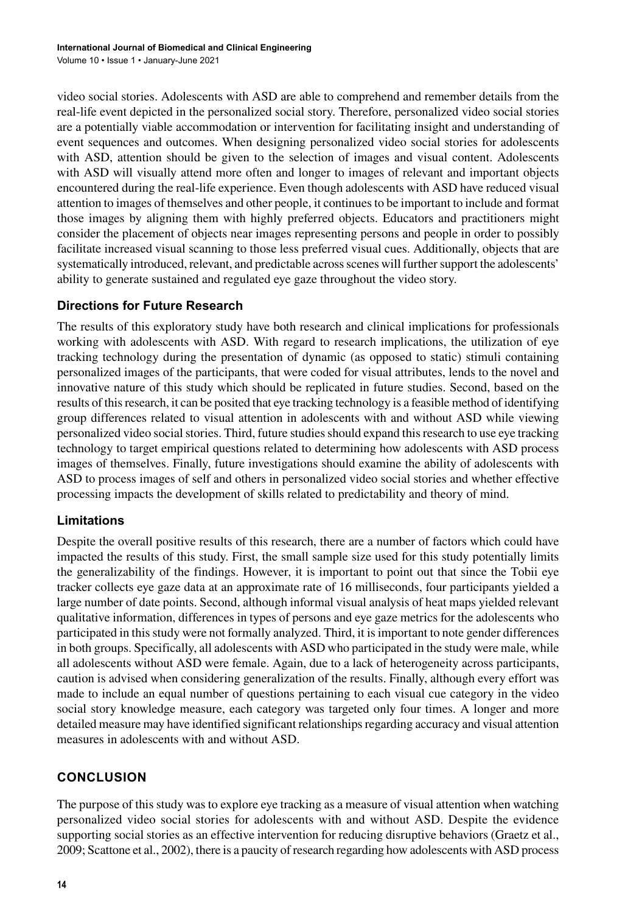video social stories. Adolescents with ASD are able to comprehend and remember details from the real-life event depicted in the personalized social story. Therefore, personalized video social stories are a potentially viable accommodation or intervention for facilitating insight and understanding of event sequences and outcomes. When designing personalized video social stories for adolescents with ASD, attention should be given to the selection of images and visual content. Adolescents with ASD will visually attend more often and longer to images of relevant and important objects encountered during the real-life experience. Even though adolescents with ASD have reduced visual attention to images of themselves and other people, it continuesto be important to include and format those images by aligning them with highly preferred objects. Educators and practitioners might consider the placement of objects near images representing persons and people in order to possibly facilitate increased visual scanning to those less preferred visual cues. Additionally, objects that are systematically introduced, relevant, and predictable across scenes will further support the adolescents' ability to generate sustained and regulated eye gaze throughout the video story.

#### **Directions for Future Research**

The results of this exploratory study have both research and clinical implications for professionals working with adolescents with ASD. With regard to research implications, the utilization of eye tracking technology during the presentation of dynamic (as opposed to static) stimuli containing personalized images of the participants, that were coded for visual attributes, lends to the novel and innovative nature of this study which should be replicated in future studies. Second, based on the results of thisresearch, it can be posited that eye tracking technology is a feasible method of identifying group differences related to visual attention in adolescents with and without ASD while viewing personalized video social stories. Third, future studies should expand this research to use eye tracking technology to target empirical questions related to determining how adolescents with ASD process images of themselves. Finally, future investigations should examine the ability of adolescents with ASD to process images of self and others in personalized video social stories and whether effective processing impacts the development of skills related to predictability and theory of mind.

#### **Limitations**

Despite the overall positive results of this research, there are a number of factors which could have impacted the results of this study. First, the small sample size used for this study potentially limits the generalizability of the findings. However, it is important to point out that since the Tobii eye tracker collects eye gaze data at an approximate rate of 16 milliseconds, four participants yielded a large number of date points. Second, although informal visual analysis of heat maps yielded relevant qualitative information, differences in types of persons and eye gaze metrics for the adolescents who participated in thisstudy were not formally analyzed. Third, it isimportant to note gender differences in both groups. Specifically, all adolescents with ASD who participated in the study were male, while all adolescents without ASD were female. Again, due to a lack of heterogeneity across participants, caution is advised when considering generalization of the results. Finally, although every effort was made to include an equal number of questions pertaining to each visual cue category in the video social story knowledge measure, each category was targeted only four times. A longer and more detailed measure may have identified significant relationshipsregarding accuracy and visual attention measures in adolescents with and without ASD.

## **CONCLUSION**

The purpose of this study was to explore eye tracking as a measure of visual attention when watching personalized video social stories for adolescents with and without ASD. Despite the evidence supporting social stories as an effective intervention for reducing disruptive behaviors (Graetz et al., 2009; Scattone et al., 2002), there is a paucity of research regarding how adolescents with ASD process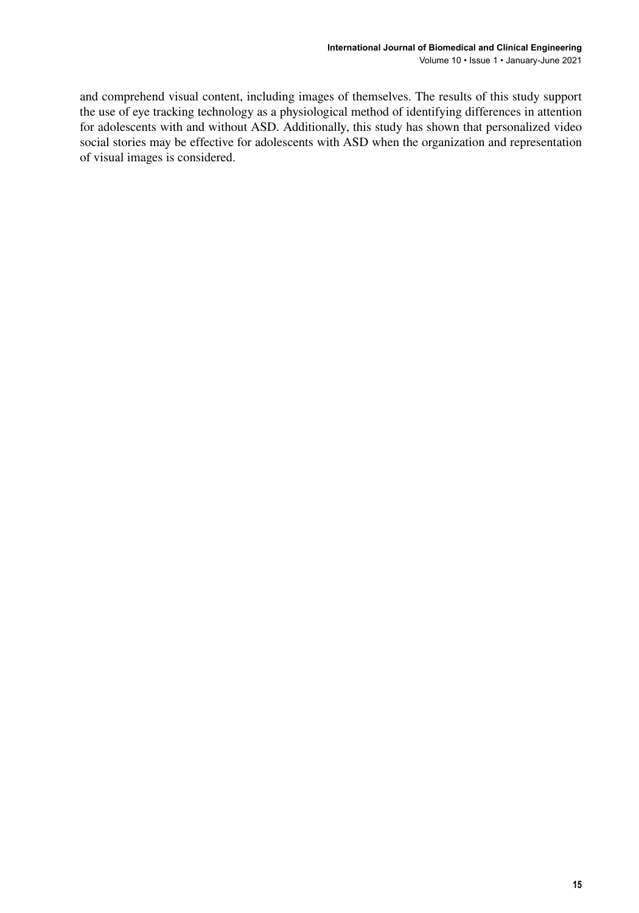and comprehend visual content, including images of themselves. The results of this study support the use of eye tracking technology as a physiological method of identifying differences in attention for adolescents with and without ASD. Additionally, this study has shown that personalized video social stories may be effective for adolescents with ASD when the organization and representation of visual images is considered.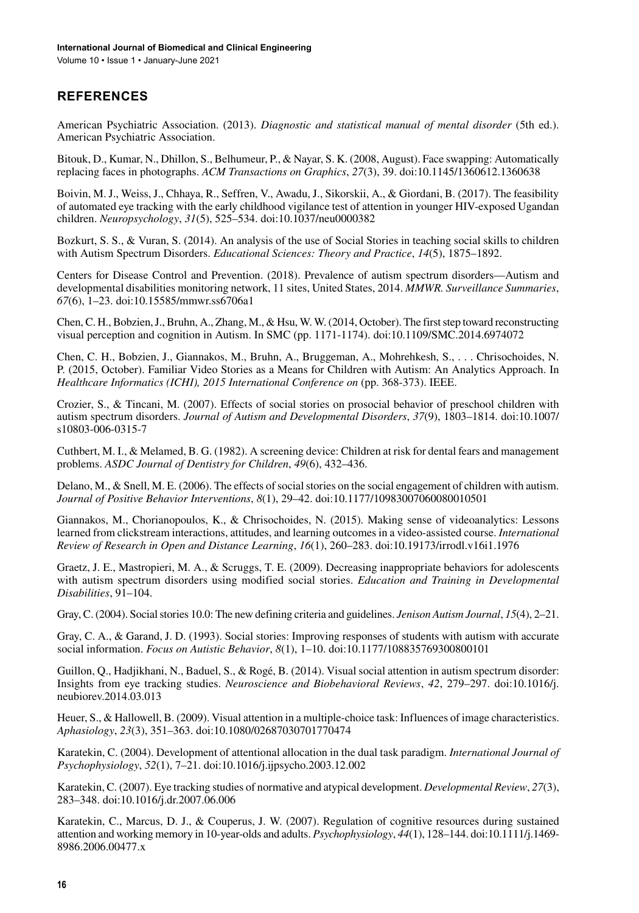#### **REFERENCES**

American Psychiatric Association. (2013). *Diagnostic and statistical manual of mental disorder* (5th ed.). American Psychiatric Association.

Bitouk, D., Kumar, N., Dhillon, S., Belhumeur, P., & Nayar, S. K. (2008, August). Face swapping: Automatically replacing faces in photographs. *ACM Transactions on Graphics*, *27*(3), 39. doi[:10.1145/1360612.1360638](http://dx.doi.org/10.1145/1360612.1360638)

Boivin, M. J., Weiss, J., Chhaya, R., Seffren, V., Awadu, J., Sikorskii, A., & Giordani, B. (2017). The feasibility of automated eye tracking with the early childhood vigilance test of attention in younger HIV-exposed Ugandan children. *Neuropsychology*, *31*(5), 525–534. doi:[10.1037/neu0000382](http://dx.doi.org/10.1037/neu0000382)

Bozkurt, S. S., & Vuran, S. (2014). An analysis of the use of Social Stories in teaching social skills to children with Autism Spectrum Disorders. *Educational Sciences: Theory and Practice*, *14*(5), 1875–1892.

Centers for Disease Control and Prevention. (2018). Prevalence of autism spectrum disorders—Autism and developmental disabilities monitoring network, 11 sites, United States, 2014. *MMWR. Surveillance Summaries*, *67*(6), 1–23. doi[:10.15585/mmwr.ss6706a1](http://dx.doi.org/10.15585/mmwr.ss6706a1)

Chen,C. H.,Bobzien,J.,Bruhn, A., Zhang, M., & Hsu, W. W.(2014, October). The firststep toward reconstructing visual perception and cognition in Autism. In SMC (pp. 1171-1174). doi:[10.1109/SMC.2014.6974072](http://dx.doi.org/10.1109/SMC.2014.6974072)

Chen, C. H., Bobzien, J., Giannakos, M., Bruhn, A., Bruggeman, A., Mohrehkesh, S., . . . Chrisochoides, N. P. (2015, October). Familiar Video Stories as a Means for Children with Autism: An Analytics Approach. In *Healthcare Informatics (ICHI), 2015 International Conference on* (pp. 368-373). IEEE.

Crozier, S., & Tincani, M. (2007). Effects of social stories on prosocial behavior of preschool children with autism spectrum disorders. *Journal of Autism and Developmental Disorders*, *37*(9), 1803–1814. doi[:10.1007/](http://dx.doi.org/10.1007/s10803-006-0315-7) [s10803-006-0315-7](http://dx.doi.org/10.1007/s10803-006-0315-7)

Cuthbert, M. I., & Melamed, B. G. (1982). A screening device: Children at risk for dental fears and management problems. *ASDC Journal of Dentistry for Children*, *49*(6), 432–436.

Delano, M., & Snell, M. E. (2006). The effects of social stories on the social engagement of children with autism. *Journal of Positive Behavior Interventions*, *8*(1), 29–42. doi:[10.1177/10983007060080010501](http://dx.doi.org/10.1177/10983007060080010501)

Giannakos, M., Chorianopoulos, K., & Chrisochoides, N. (2015). Making sense of videoanalytics: Lessons learned from clickstream interactions, attitudes, and learning outcomes in a video-assisted course. *International Review of Research in Open and Distance Learning*, *16*(1), 260–283. doi[:10.19173/irrodl.v16i1.1976](http://dx.doi.org/10.19173/irrodl.v16i1.1976)

Graetz, J. E., Mastropieri, M. A., & Scruggs, T. E. (2009). Decreasing inappropriate behaviors for adolescents with autism spectrum disorders using modified social stories. *Education and Training in Developmental Disabilities*, 91–104.

Gray, C.(2004). Socialstories 10.0: The new defining criteria and guidelines. *Jenison Autism Journal*, *15*(4), 2–21.

Gray, C. A., & Garand, J. D. (1993). Social stories: Improving responses of students with autism with accurate social information. *Focus on Autistic Behavior*, *8*(1), 1–10. doi[:10.1177/108835769300800101](http://dx.doi.org/10.1177/108835769300800101)

Guillon, Q., Hadjikhani, N., Baduel, S., & Rogé, B. (2014). Visual social attention in autism spectrum disorder: Insights from eye tracking studies. *Neuroscience and Biobehavioral Reviews*, *42*, 279–297. doi[:10.1016/j.](http://dx.doi.org/10.1016/j.neubiorev.2014.03.013) [neubiorev.2014.03.013](http://dx.doi.org/10.1016/j.neubiorev.2014.03.013)

Heuer, S., & Hallowell, B. (2009). Visual attention in a multiple-choice task: Influences of image characteristics. *Aphasiology*, *23*(3), 351–363. doi:[10.1080/02687030701770474](http://dx.doi.org/10.1080/02687030701770474)

Karatekin, C. (2004). Development of attentional allocation in the dual task paradigm. *International Journal of Psychophysiology*, *52*(1), 7–21. doi:[10.1016/j.ijpsycho.2003.12.002](http://dx.doi.org/10.1016/j.ijpsycho.2003.12.002)

Karatekin, C. (2007). Eye tracking studies of normative and atypical development. *Developmental Review*, *27*(3), 283–348. doi[:10.1016/j.dr.2007.06.006](http://dx.doi.org/10.1016/j.dr.2007.06.006)

Karatekin, C., Marcus, D. J., & Couperus, J. W. (2007). Regulation of cognitive resources during sustained attention and working memory in 10-year-olds and adults. *Psychophysiology*, *44*(1), 128–144. doi:[10.1111/j.1469-](http://dx.doi.org/10.1111/j.1469-8986.2006.00477.x) [8986.2006.00477.x](http://dx.doi.org/10.1111/j.1469-8986.2006.00477.x)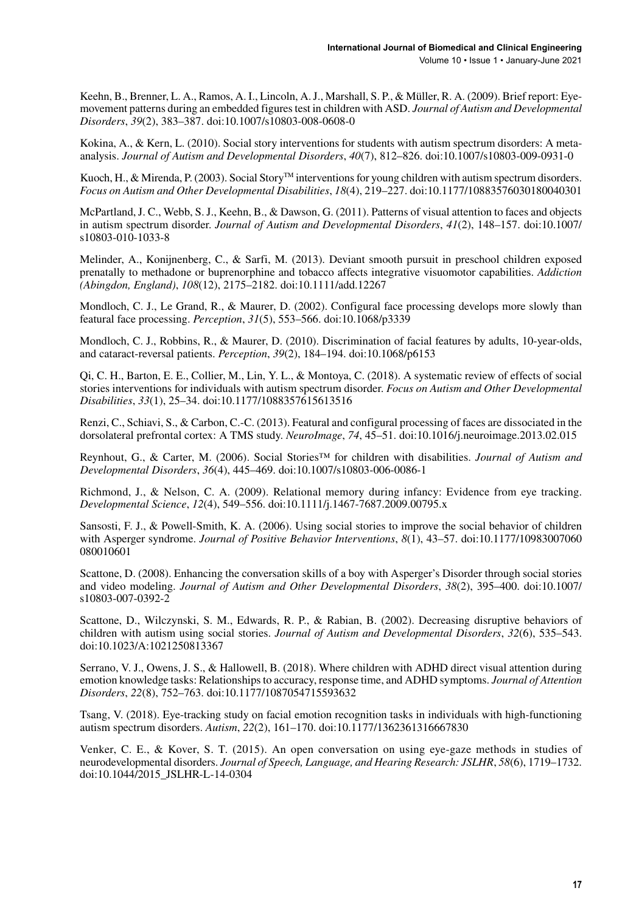Keehn, B., Brenner, L. A., Ramos, A. I., Lincoln, A.J., Marshall, S. P., & Müller, R. A. (2009). Brief report: Eyemovement patterns during an embedded figures test in children with ASD. *Journal of Autism and Developmental Disorders*, *39*(2), 383–387. doi[:10.1007/s10803-008-0608-0](http://dx.doi.org/10.1007/s10803-008-0608-0)

Kokina, A., & Kern, L. (2010). Social story interventions for students with autism spectrum disorders: A metaanalysis. *Journal of Autism and Developmental Disorders*, *40*(7), 812–826. doi[:10.1007/s10803-009-0931-0](http://dx.doi.org/10.1007/s10803-009-0931-0)

Kuoch, H., & Mirenda, P. (2003). Social Story<sup>TM</sup> interventions for young children with autism spectrum disorders. *Focus on Autism and Other Developmental Disabilities*, *18*(4), 219–227. doi[:10.1177/10883576030180040301](http://dx.doi.org/10.1177/10883576030180040301)

McPartland, J. C., Webb, S. J., Keehn, B., & Dawson, G. (2011). Patterns of visual attention to faces and objects in autism spectrum disorder. *Journal of Autism and Developmental Disorders*, *41*(2), 148–157. doi[:10.1007/](http://dx.doi.org/10.1007/s10803-010-1033-8) [s10803-010-1033-8](http://dx.doi.org/10.1007/s10803-010-1033-8)

Melinder, A., Konijnenberg, C., & Sarfi, M. (2013). Deviant smooth pursuit in preschool children exposed prenatally to methadone or buprenorphine and tobacco affects integrative visuomotor capabilities. *Addiction (Abingdon, England)*, *108*(12), 2175–2182. doi[:10.1111/add.12267](http://dx.doi.org/10.1111/add.12267)

Mondloch, C. J., Le Grand, R., & Maurer, D. (2002). Configural face processing develops more slowly than featural face processing. *Perception*, *31*(5), 553–566. doi:[10.1068/p3339](http://dx.doi.org/10.1068/p3339)

Mondloch, C. J., Robbins, R., & Maurer, D. (2010). Discrimination of facial features by adults, 10-year-olds, and cataract-reversal patients. *Perception*, *39*(2), 184–194. doi[:10.1068/p6153](http://dx.doi.org/10.1068/p6153)

Qi, C. H., Barton, E. E., Collier, M., Lin, Y. L., & Montoya, C. (2018). A systematic review of effects of social stories interventions for individuals with autism spectrum disorder. *Focus on Autism and Other Developmental Disabilities*, *33*(1), 25–34. doi[:10.1177/1088357615613516](http://dx.doi.org/10.1177/1088357615613516)

Renzi, C., Schiavi, S., & Carbon, C.-C. (2013). Featural and configural processing of faces are dissociated in the dorsolateral prefrontal cortex: A TMS study. *NeuroImage*, *74*, 45–51. doi:[10.1016/j.neuroimage.2013.02.015](http://dx.doi.org/10.1016/j.neuroimage.2013.02.015)

Reynhout, G., & Carter, M. (2006). Social Stories™ for children with disabilities. *Journal of Autism and Developmental Disorders*, *36*(4), 445–469. doi:[10.1007/s10803-006-0086-1](http://dx.doi.org/10.1007/s10803-006-0086-1)

Richmond, J., & Nelson, C. A. (2009). Relational memory during infancy: Evidence from eye tracking. *Developmental Science*, *12*(4), 549–556. doi:[10.1111/j.1467-7687.2009.00795.x](http://dx.doi.org/10.1111/j.1467-7687.2009.00795.x)

Sansosti, F. J., & Powell-Smith, K. A. (2006). Using social stories to improve the social behavior of children with Asperger syndrome. *Journal of Positive Behavior Interventions*, *8*(1), 43–57. doi:[10.1177/10983007060](http://dx.doi.org/10.1177/10983007060080010601) [080010601](http://dx.doi.org/10.1177/10983007060080010601)

Scattone, D. (2008). Enhancing the conversation skills of a boy with Asperger's Disorder through social stories and video modeling. *Journal of Autism and Other Developmental Disorders*, *38*(2), 395–400. doi[:10.1007/](http://dx.doi.org/10.1007/s10803-007-0392-2) [s10803-007-0392-2](http://dx.doi.org/10.1007/s10803-007-0392-2)

Scattone, D., Wilczynski, S. M., Edwards, R. P., & Rabian, B. (2002). Decreasing disruptive behaviors of children with autism using social stories. *Journal of Autism and Developmental Disorders*, *32*(6), 535–543. doi[:10.1023/A:1021250813367](http://dx.doi.org/10.1023/A:1021250813367)

Serrano, V. J., Owens, J. S., & Hallowell, B. (2018). Where children with ADHD direct visual attention during emotion knowledge tasks: Relationshipsto accuracy, response time, and ADHD symptoms. *Journal of Attention Disorders*, *22*(8), 752–763. doi[:10.1177/1087054715593632](http://dx.doi.org/10.1177/1087054715593632)

Tsang, V. (2018). Eye-tracking study on facial emotion recognition tasks in individuals with high-functioning autism spectrum disorders. *Autism*, *22*(2), 161–170. doi:[10.1177/1362361316667830](http://dx.doi.org/10.1177/1362361316667830)

Venker, C. E., & Kover, S. T. (2015). An open conversation on using eye-gaze methods in studies of neurodevelopmental disorders. *Journal of Speech, Language, and Hearing Research: JSLHR*, *58*(6), 1719–1732. doi:[10.1044/2015\\_JSLHR-L-14-0304](http://dx.doi.org/10.1044/2015_JSLHR-L-14-0304)